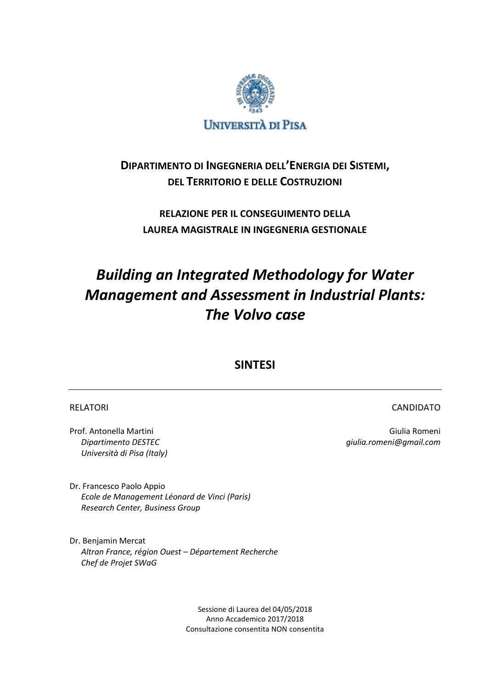

# **DIPARTIMENTO DI INGEGNERIA DELL'ENERGIA DEI SISTEMI, DEL TERRITORIO E DELLE COSTRUZIONI**

# **RELAZIONE PER IL CONSEGUIMENTO DELLA LAUREA MAGISTRALE IN INGEGNERIA GESTIONALE**

# *Building an Integrated Methodology for Water Management and Assessment in Industrial Plants: The Volvo case*

# **SINTESI**

# RELATORI EN EL ANGLO ESTE EN EL ANGLO EN EL ANGLO EN EL ANGLO EN EL ANGLO EN EL ANGLO EN EL ANGLO EN EL ANGLO

Prof. Antonella Martini Giulia Romeni *Dipartimento DESTEC giulia.romeni@gmail.com Università di Pisa (Italy)*

Dr. Francesco Paolo Appio *Ecole de Management Léonard de Vinci (Paris) Research Center, Business Group*

Dr. Benjamin Mercat *Altran France, région Ouest – Département Recherche Chef de Projet SWaG*

> Sessione di Laurea del 04/05/2018 Anno Accademico 2017/2018 Consultazione consentita NON consentita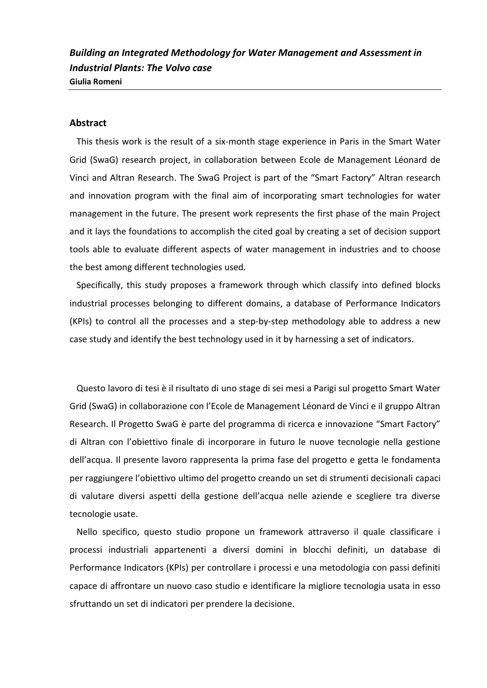*Building an Integrated Methodology for Water Management and Assessment in Industrial Plants: The Volvo case* **Giulia Romeni**

# **Abstract**

This thesis work is the result of a six-month stage experience in Paris in the Smart Water Grid (SwaG) research project, in collaboration between Ecole de Management Léonard de Vinci and Altran Research. The SwaG Project is part of the "Smart Factory" Altran research and innovation program with the final aim of incorporating smart technologies for water management in the future. The present work represents the first phase of the main Project and it lays the foundations to accomplish the cited goal by creating a set of decision support tools able to evaluate different aspects of water management in industries and to choose the best among different technologies used.

Specifically, this study proposes a framework through which classify into defined blocks industrial processes belonging to different domains, a database of Performance Indicators (KPIs) to control all the processes and a step-by-step methodology able to address a new case study and identify the best technology used in it by harnessing a set of indicators.

Questo lavoro di tesi è il risultato di uno stage di sei mesi a Parigi sul progetto Smart Water Grid (SwaG) in collaborazione con l'Ecole de Management Léonard de Vinci e il gruppo Altran Research. Il Progetto SwaG è parte del programma di ricerca e innovazione "Smart Factory" di Altran con l'obiettivo finale di incorporare in futuro le nuove tecnologie nella gestione dell'acqua. Il presente lavoro rappresenta la prima fase del progetto e getta le fondamenta per raggiungere l'obiettivo ultimo del progetto creando un set di strumenti decisionali capaci di valutare diversi aspetti della gestione dell'acqua nelle aziende e scegliere tra diverse tecnologie usate.

Nello specifico, questo studio propone un framework attraverso il quale classificare i processi industriali appartenenti a diversi domini in blocchi definiti, un database di Performance Indicators (KPIs) per controllare i processi e una metodologia con passi definiti capace di affrontare un nuovo caso studio e identificare la migliore tecnologia usata in esso sfruttando un set di indicatori per prendere la decisione.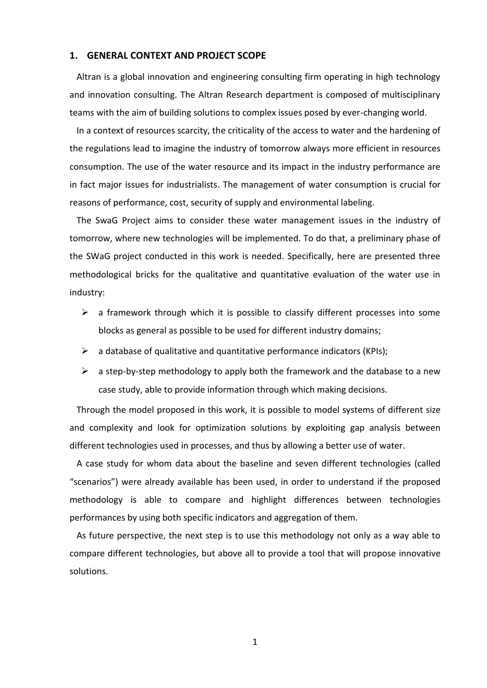## **1. GENERAL CONTEXT AND PROJECT SCOPE**

Altran is a global innovation and engineering consulting firm operating in high technology and innovation consulting. The Altran Research department is composed of multisciplinary teams with the aim of building solutions to complex issues posed by ever-changing world.

In a context of resources scarcity, the criticality of the access to water and the hardening of the regulations lead to imagine the industry of tomorrow always more efficient in resources consumption. The use of the water resource and its impact in the industry performance are in fact major issues for industrialists. The management of water consumption is crucial for reasons of performance, cost, security of supply and environmental labeling.

The SwaG Project aims to consider these water management issues in the industry of tomorrow, where new technologies will be implemented. To do that, a preliminary phase of the SWaG project conducted in this work is needed. Specifically, here are presented three methodological bricks for the qualitative and quantitative evaluation of the water use in industry:

- $\triangleright$  a framework through which it is possible to classify different processes into some blocks as general as possible to be used for different industry domains;
- $\triangleright$  a database of qualitative and quantitative performance indicators (KPIs);
- $\triangleright$  a step-by-step methodology to apply both the framework and the database to a new case study, able to provide information through which making decisions.

Through the model proposed in this work, it is possible to model systems of different size and complexity and look for optimization solutions by exploiting gap analysis between different technologies used in processes, and thus by allowing a better use of water.

A case study for whom data about the baseline and seven different technologies (called "scenarios") were already available has been used, in order to understand if the proposed methodology is able to compare and highlight differences between technologies performances by using both specific indicators and aggregation of them.

As future perspective, the next step is to use this methodology not only as a way able to compare different technologies, but above all to provide a tool that will propose innovative solutions.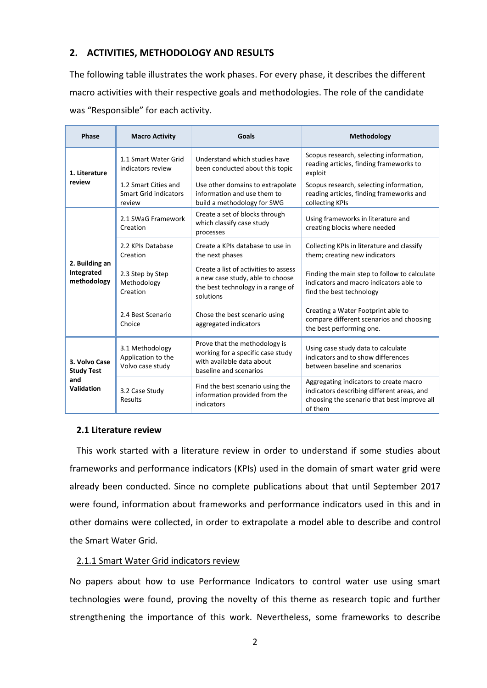# **2. ACTIVITIES, METHODOLOGY AND RESULTS**

The following table illustrates the work phases. For every phase, it describes the different macro activities with their respective goals and methodologies. The role of the candidate was "Responsible" for each activity.

| Phase                                                   | <b>Macro Activity</b>                                          | Goals                                                                                                                       | Methodology                                                                                                                                    |
|---------------------------------------------------------|----------------------------------------------------------------|-----------------------------------------------------------------------------------------------------------------------------|------------------------------------------------------------------------------------------------------------------------------------------------|
| 1. Literature<br>review                                 | 1.1 Smart Water Grid<br>indicators review                      | Understand which studies have<br>been conducted about this topic                                                            | Scopus research, selecting information,<br>reading articles, finding frameworks to<br>exploit                                                  |
|                                                         | 1.2 Smart Cities and<br><b>Smart Grid indicators</b><br>review | Use other domains to extrapolate<br>information and use them to<br>build a methodology for SWG                              | Scopus research, selecting information,<br>reading articles, finding frameworks and<br>collecting KPIs                                         |
| 2. Building an<br>Integrated<br>methodology             | 2.1 SWaG Framework<br>Creation                                 | Create a set of blocks through<br>which classify case study<br>processes                                                    | Using frameworks in literature and<br>creating blocks where needed                                                                             |
|                                                         | 2.2 KPIs Database<br>Creation                                  | Create a KPIs database to use in<br>the next phases                                                                         | Collecting KPIs in literature and classify<br>them; creating new indicators                                                                    |
|                                                         | 2.3 Step by Step<br>Methodology<br>Creation                    | Create a list of activities to assess<br>a new case study, able to choose<br>the best technology in a range of<br>solutions | Finding the main step to follow to calculate<br>indicators and macro indicators able to<br>find the best technology                            |
|                                                         | 2.4 Best Scenario<br>Choice                                    | Chose the best scenario using<br>aggregated indicators                                                                      | Creating a Water Footprint able to<br>compare different scenarios and choosing<br>the best performing one.                                     |
| 3. Volvo Case<br><b>Study Test</b><br>and<br>Validation | 3.1 Methodology<br>Application to the<br>Volvo case study      | Prove that the methodology is<br>working for a specific case study<br>with available data about<br>baseline and scenarios   | Using case study data to calculate<br>indicators and to show differences<br>between baseline and scenarios                                     |
|                                                         | 3.2 Case Study<br>Results                                      | Find the best scenario using the<br>information provided from the<br>indicators                                             | Aggregating indicators to create macro<br>indicators describing different areas, and<br>choosing the scenario that best improve all<br>of them |

## **2.1 Literature review**

This work started with a literature review in order to understand if some studies about frameworks and performance indicators (KPIs) used in the domain of smart water grid were already been conducted. Since no complete publications about that until September 2017 were found, information about frameworks and performance indicators used in this and in other domains were collected, in order to extrapolate a model able to describe and control the Smart Water Grid.

# 2.1.1 Smart Water Grid indicators review

No papers about how to use Performance Indicators to control water use using smart technologies were found, proving the novelty of this theme as research topic and further strengthening the importance of this work. Nevertheless, some frameworks to describe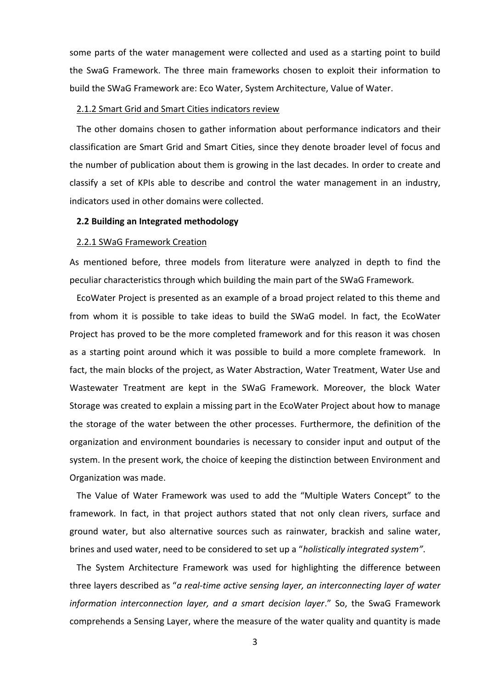some parts of the water management were collected and used as a starting point to build the SwaG Framework. The three main frameworks chosen to exploit their information to build the SWaG Framework are: Eco Water, System Architecture, Value of Water.

## 2.1.2 Smart Grid and Smart Cities indicators review

The other domains chosen to gather information about performance indicators and their classification are Smart Grid and Smart Cities, since they denote broader level of focus and the number of publication about them is growing in the last decades. In order to create and classify a set of KPIs able to describe and control the water management in an industry, indicators used in other domains were collected.

#### **2.2 Building an Integrated methodology**

#### 2.2.1 SWaG Framework Creation

As mentioned before, three models from literature were analyzed in depth to find the peculiar characteristics through which building the main part of the SWaG Framework.

EcoWater Project is presented as an example of a broad project related to this theme and from whom it is possible to take ideas to build the SWaG model. In fact, the EcoWater Project has proved to be the more completed framework and for this reason it was chosen as a starting point around which it was possible to build a more complete framework. In fact, the main blocks of the project, as Water Abstraction, Water Treatment, Water Use and Wastewater Treatment are kept in the SWaG Framework. Moreover, the block Water Storage was created to explain a missing part in the EcoWater Project about how to manage the storage of the water between the other processes. Furthermore, the definition of the organization and environment boundaries is necessary to consider input and output of the system. In the present work, the choice of keeping the distinction between Environment and Organization was made.

The Value of Water Framework was used to add the "Multiple Waters Concept" to the framework. In fact, in that project authors stated that not only clean rivers, surface and ground water, but also alternative sources such as rainwater, brackish and saline water, brines and used water, need to be considered to set up a "*holistically integrated system"*.

The System Architecture Framework was used for highlighting the difference between three layers described as "*a real-time active sensing layer, an interconnecting layer of water information interconnection layer, and a smart decision layer*." So, the SwaG Framework comprehends a Sensing Layer, where the measure of the water quality and quantity is made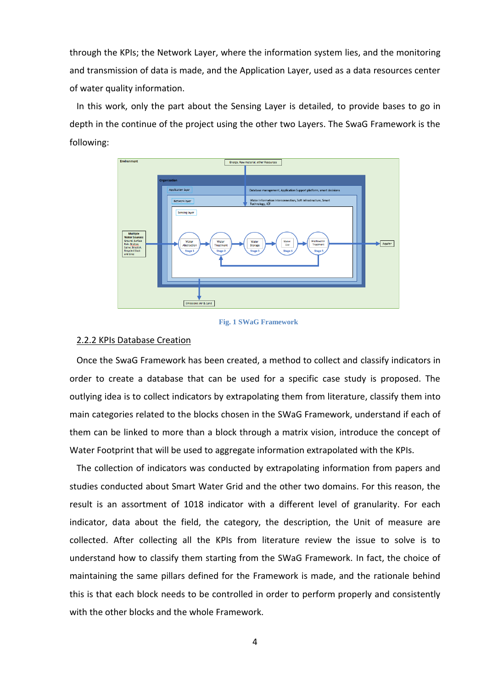through the KPIs; the Network Layer, where the information system lies, and the monitoring and transmission of data is made, and the Application Layer, used as a data resources center of water quality information.

In this work, only the part about the Sensing Layer is detailed, to provide bases to go in depth in the continue of the project using the other two Layers. The SwaG Framework is the following:



#### **Fig. 1 SWaG Framework**

#### 2.2.2 KPIs Database Creation

Once the SwaG Framework has been created, a method to collect and classify indicators in order to create a database that can be used for a specific case study is proposed. The outlying idea is to collect indicators by extrapolating them from literature, classify them into main categories related to the blocks chosen in the SWaG Framework, understand if each of them can be linked to more than a block through a matrix vision, introduce the concept of Water Footprint that will be used to aggregate information extrapolated with the KPIs.

The collection of indicators was conducted by extrapolating information from papers and studies conducted about Smart Water Grid and the other two domains. For this reason, the result is an assortment of 1018 indicator with a different level of granularity. For each indicator, data about the field, the category, the description, the Unit of measure are collected. After collecting all the KPIs from literature review the issue to solve is to understand how to classify them starting from the SWaG Framework. In fact, the choice of maintaining the same pillars defined for the Framework is made, and the rationale behind this is that each block needs to be controlled in order to perform properly and consistently with the other blocks and the whole Framework.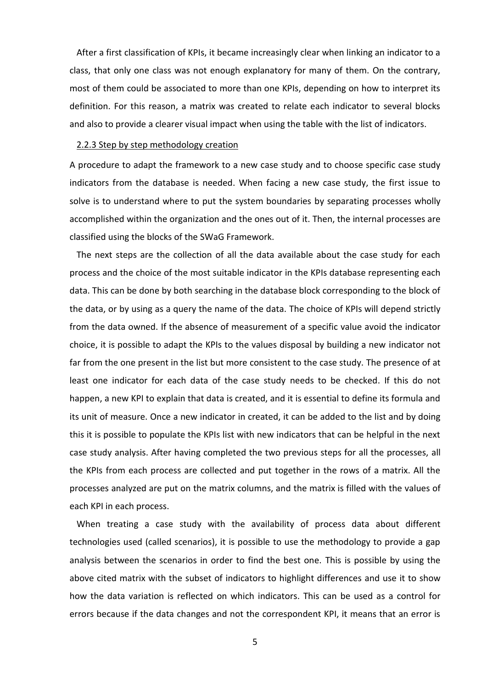After a first classification of KPIs, it became increasingly clear when linking an indicator to a class, that only one class was not enough explanatory for many of them. On the contrary, most of them could be associated to more than one KPIs, depending on how to interpret its definition. For this reason, a matrix was created to relate each indicator to several blocks and also to provide a clearer visual impact when using the table with the list of indicators.

#### 2.2.3 Step by step methodology creation

A procedure to adapt the framework to a new case study and to choose specific case study indicators from the database is needed. When facing a new case study, the first issue to solve is to understand where to put the system boundaries by separating processes wholly accomplished within the organization and the ones out of it. Then, the internal processes are classified using the blocks of the SWaG Framework.

The next steps are the collection of all the data available about the case study for each process and the choice of the most suitable indicator in the KPIs database representing each data. This can be done by both searching in the database block corresponding to the block of the data, or by using as a query the name of the data. The choice of KPIs will depend strictly from the data owned. If the absence of measurement of a specific value avoid the indicator choice, it is possible to adapt the KPIs to the values disposal by building a new indicator not far from the one present in the list but more consistent to the case study. The presence of at least one indicator for each data of the case study needs to be checked. If this do not happen, a new KPI to explain that data is created, and it is essential to define its formula and its unit of measure. Once a new indicator in created, it can be added to the list and by doing this it is possible to populate the KPIs list with new indicators that can be helpful in the next case study analysis. After having completed the two previous steps for all the processes, all the KPIs from each process are collected and put together in the rows of a matrix. All the processes analyzed are put on the matrix columns, and the matrix is filled with the values of each KPI in each process.

When treating a case study with the availability of process data about different technologies used (called scenarios), it is possible to use the methodology to provide a gap analysis between the scenarios in order to find the best one. This is possible by using the above cited matrix with the subset of indicators to highlight differences and use it to show how the data variation is reflected on which indicators. This can be used as a control for errors because if the data changes and not the correspondent KPI, it means that an error is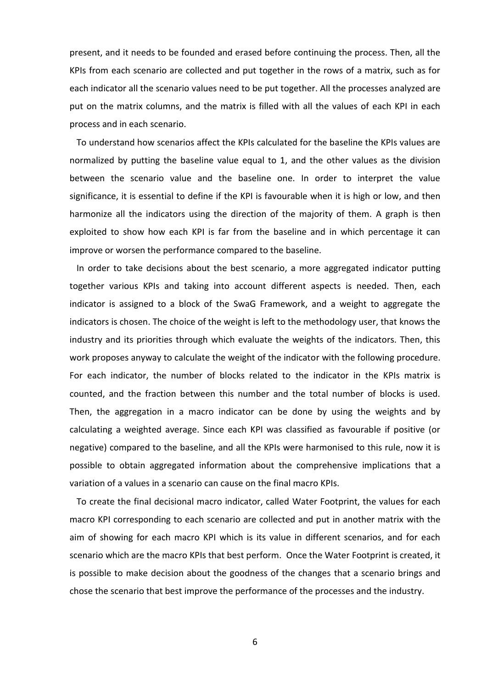present, and it needs to be founded and erased before continuing the process. Then, all the KPIs from each scenario are collected and put together in the rows of a matrix, such as for each indicator all the scenario values need to be put together. All the processes analyzed are put on the matrix columns, and the matrix is filled with all the values of each KPI in each process and in each scenario.

To understand how scenarios affect the KPIs calculated for the baseline the KPIs values are normalized by putting the baseline value equal to 1, and the other values as the division between the scenario value and the baseline one. In order to interpret the value significance, it is essential to define if the KPI is favourable when it is high or low, and then harmonize all the indicators using the direction of the majority of them. A graph is then exploited to show how each KPI is far from the baseline and in which percentage it can improve or worsen the performance compared to the baseline.

In order to take decisions about the best scenario, a more aggregated indicator putting together various KPIs and taking into account different aspects is needed. Then, each indicator is assigned to a block of the SwaG Framework, and a weight to aggregate the indicators is chosen. The choice of the weight is left to the methodology user, that knows the industry and its priorities through which evaluate the weights of the indicators. Then, this work proposes anyway to calculate the weight of the indicator with the following procedure. For each indicator, the number of blocks related to the indicator in the KPIs matrix is counted, and the fraction between this number and the total number of blocks is used. Then, the aggregation in a macro indicator can be done by using the weights and by calculating a weighted average. Since each KPI was classified as favourable if positive (or negative) compared to the baseline, and all the KPIs were harmonised to this rule, now it is possible to obtain aggregated information about the comprehensive implications that a variation of a values in a scenario can cause on the final macro KPIs.

To create the final decisional macro indicator, called Water Footprint, the values for each macro KPI corresponding to each scenario are collected and put in another matrix with the aim of showing for each macro KPI which is its value in different scenarios, and for each scenario which are the macro KPIs that best perform. Once the Water Footprint is created, it is possible to make decision about the goodness of the changes that a scenario brings and chose the scenario that best improve the performance of the processes and the industry.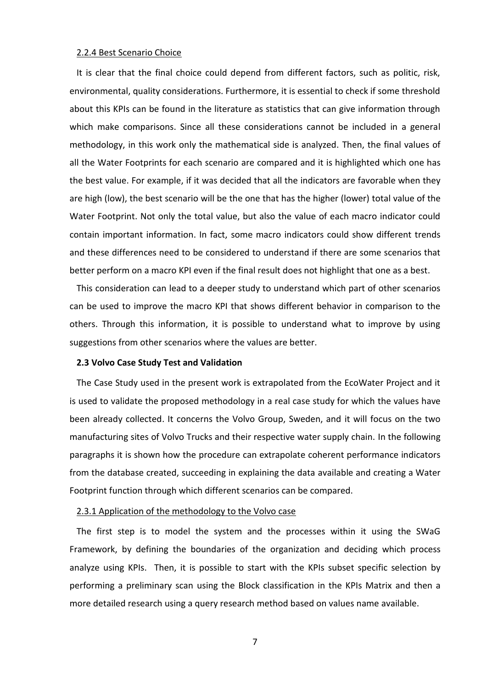#### 2.2.4 Best Scenario Choice

It is clear that the final choice could depend from different factors, such as politic, risk, environmental, quality considerations. Furthermore, it is essential to check if some threshold about this KPIs can be found in the literature as statistics that can give information through which make comparisons. Since all these considerations cannot be included in a general methodology, in this work only the mathematical side is analyzed. Then, the final values of all the Water Footprints for each scenario are compared and it is highlighted which one has the best value. For example, if it was decided that all the indicators are favorable when they are high (low), the best scenario will be the one that has the higher (lower) total value of the Water Footprint. Not only the total value, but also the value of each macro indicator could contain important information. In fact, some macro indicators could show different trends and these differences need to be considered to understand if there are some scenarios that better perform on a macro KPI even if the final result does not highlight that one as a best.

This consideration can lead to a deeper study to understand which part of other scenarios can be used to improve the macro KPI that shows different behavior in comparison to the others. Through this information, it is possible to understand what to improve by using suggestions from other scenarios where the values are better.

#### **2.3 Volvo Case Study Test and Validation**

The Case Study used in the present work is extrapolated from the EcoWater Project and it is used to validate the proposed methodology in a real case study for which the values have been already collected. It concerns the Volvo Group, Sweden, and it will focus on the two manufacturing sites of Volvo Trucks and their respective water supply chain. In the following paragraphs it is shown how the procedure can extrapolate coherent performance indicators from the database created, succeeding in explaining the data available and creating a Water Footprint function through which different scenarios can be compared.

#### 2.3.1 Application of the methodology to the Volvo case

The first step is to model the system and the processes within it using the SWaG Framework, by defining the boundaries of the organization and deciding which process analyze using KPIs. Then, it is possible to start with the KPIs subset specific selection by performing a preliminary scan using the Block classification in the KPIs Matrix and then a more detailed research using a query research method based on values name available.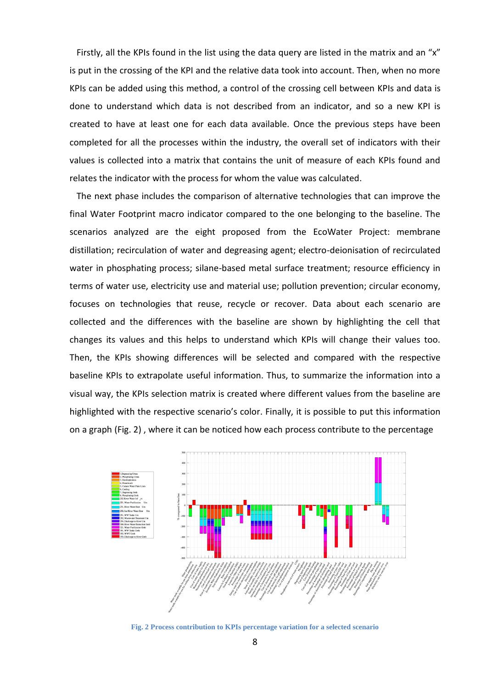Firstly, all the KPIs found in the list using the data query are listed in the matrix and an "x" is put in the crossing of the KPI and the relative data took into account. Then, when no more KPIs can be added using this method, a control of the crossing cell between KPIs and data is done to understand which data is not described from an indicator, and so a new KPI is created to have at least one for each data available. Once the previous steps have been completed for all the processes within the industry, the overall set of indicators with their values is collected into a matrix that contains the unit of measure of each KPIs found and relates the indicator with the process for whom the value was calculated.

The next phase includes the comparison of alternative technologies that can improve the final Water Footprint macro indicator compared to the one belonging to the baseline. The scenarios analyzed are the eight proposed from the EcoWater Project: membrane distillation; recirculation of water and degreasing agent; electro-deionisation of recirculated water in phosphating process; silane-based metal surface treatment; resource efficiency in terms of water use, electricity use and material use; pollution prevention; circular economy, focuses on technologies that reuse, recycle or recover. Data about each scenario are collected and the differences with the baseline are shown by highlighting the cell that changes its values and this helps to understand which KPIs will change their values too. Then, the KPIs showing differences will be selected and compared with the respective baseline KPIs to extrapolate useful information. Thus, to summarize the information into a visual way, the KPIs selection matrix is created where different values from the baseline are highlighted with the respective scenario's color. Finally, it is possible to put this information on a graph (Fig. 2) , where it can be noticed how each process contribute to the percentage



**Fig. 2 Process contribution to KPIs percentage variation for a selected scenario**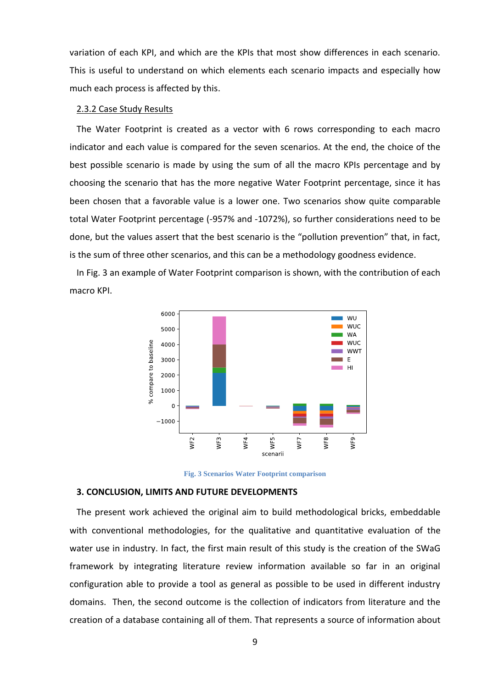variation of each KPI, and which are the KPIs that most show differences in each scenario. This is useful to understand on which elements each scenario impacts and especially how much each process is affected by this.

## 2.3.2 Case Study Results

The Water Footprint is created as a vector with 6 rows corresponding to each macro indicator and each value is compared for the seven scenarios. At the end, the choice of the best possible scenario is made by using the sum of all the macro KPIs percentage and by choosing the scenario that has the more negative Water Footprint percentage, since it has been chosen that a favorable value is a lower one. Two scenarios show quite comparable total Water Footprint percentage (-957% and -1072%), so further considerations need to be done, but the values assert that the best scenario is the "pollution prevention" that, in fact, is the sum of three other scenarios, and this can be a methodology goodness evidence.

In Fig. 3 an example of Water Footprint comparison is shown, with the contribution of each macro KPI.



**Fig. 3 Scenarios Water Footprint comparison**

# **3. CONCLUSION, LIMITS AND FUTURE DEVELOPMENTS**

The present work achieved the original aim to build methodological bricks, embeddable with conventional methodologies, for the qualitative and quantitative evaluation of the water use in industry. In fact, the first main result of this study is the creation of the SWaG framework by integrating literature review information available so far in an original configuration able to provide a tool as general as possible to be used in different industry domains. Then, the second outcome is the collection of indicators from literature and the creation of a database containing all of them. That represents a source of information about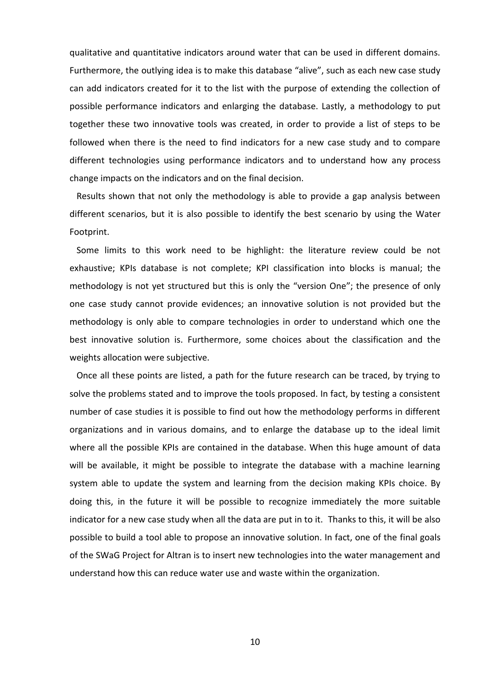qualitative and quantitative indicators around water that can be used in different domains. Furthermore, the outlying idea is to make this database "alive", such as each new case study can add indicators created for it to the list with the purpose of extending the collection of possible performance indicators and enlarging the database. Lastly, a methodology to put together these two innovative tools was created, in order to provide a list of steps to be followed when there is the need to find indicators for a new case study and to compare different technologies using performance indicators and to understand how any process change impacts on the indicators and on the final decision.

Results shown that not only the methodology is able to provide a gap analysis between different scenarios, but it is also possible to identify the best scenario by using the Water Footprint.

Some limits to this work need to be highlight: the literature review could be not exhaustive; KPIs database is not complete; KPI classification into blocks is manual; the methodology is not yet structured but this is only the "version One"; the presence of only one case study cannot provide evidences; an innovative solution is not provided but the methodology is only able to compare technologies in order to understand which one the best innovative solution is. Furthermore, some choices about the classification and the weights allocation were subjective.

Once all these points are listed, a path for the future research can be traced, by trying to solve the problems stated and to improve the tools proposed. In fact, by testing a consistent number of case studies it is possible to find out how the methodology performs in different organizations and in various domains, and to enlarge the database up to the ideal limit where all the possible KPIs are contained in the database. When this huge amount of data will be available, it might be possible to integrate the database with a machine learning system able to update the system and learning from the decision making KPIs choice. By doing this, in the future it will be possible to recognize immediately the more suitable indicator for a new case study when all the data are put in to it. Thanks to this, it will be also possible to build a tool able to propose an innovative solution. In fact, one of the final goals of the SWaG Project for Altran is to insert new technologies into the water management and understand how this can reduce water use and waste within the organization.